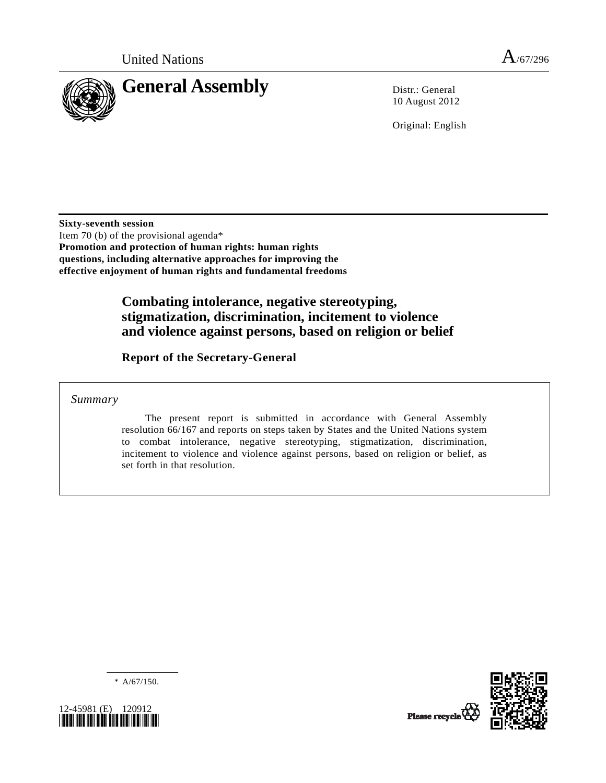

10 August 2012

Original: English

**Sixty-seventh session**  Item 70 (b) of the provisional agenda\* **Promotion and protection of human rights: human rights questions, including alternative approaches for improving the effective enjoyment of human rights and fundamental freedoms** 

# **Combating intolerance, negative stereotyping, stigmatization, discrimination, incitement to violence and violence against persons, based on religion or belief**

 **Report of the Secretary-General** 

 *Summary* 

 The present report is submitted in accordance with General Assembly resolution 66/167 and reports on steps taken by States and the United Nations system to combat intolerance, negative stereotyping, stigmatization, discrimination, incitement to violence and violence against persons, based on religion or belief, as set forth in that resolution.

 $* A/67/150.$ 



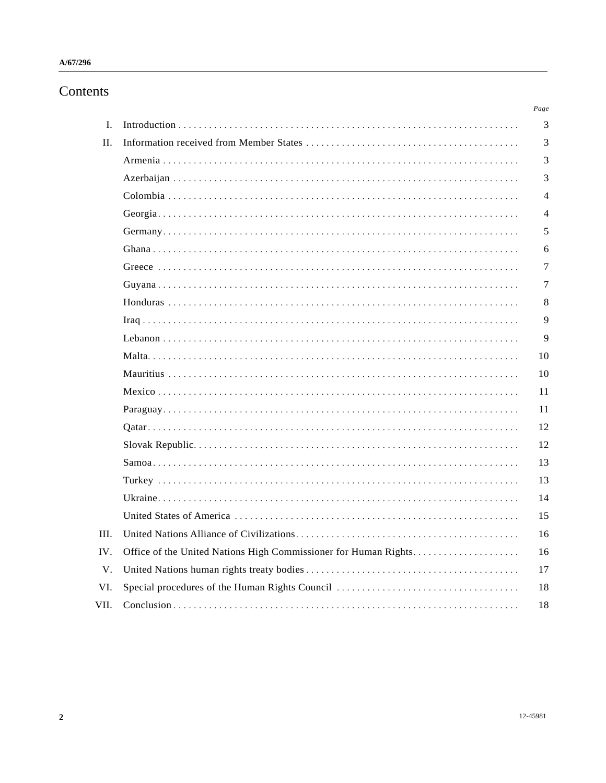# Contents

|      |                                                                 | Page           |
|------|-----------------------------------------------------------------|----------------|
| I.   |                                                                 | 3              |
| II.  |                                                                 | 3              |
|      |                                                                 | 3              |
|      |                                                                 | 3              |
|      |                                                                 | $\overline{4}$ |
|      |                                                                 | 4              |
|      |                                                                 | 5              |
|      |                                                                 | 6              |
|      |                                                                 | 7              |
|      |                                                                 | 7              |
|      |                                                                 | 8              |
|      |                                                                 | 9              |
|      |                                                                 | 9              |
|      |                                                                 | 10             |
|      |                                                                 | 10             |
|      |                                                                 | 11             |
|      |                                                                 | 11             |
|      |                                                                 | 12             |
|      |                                                                 | 12             |
|      |                                                                 | 13             |
|      |                                                                 | 13             |
|      |                                                                 | 14             |
|      |                                                                 | 15             |
| III. |                                                                 | 16             |
| IV.  | Office of the United Nations High Commissioner for Human Rights | 16             |
| V.   |                                                                 | 17             |
| VI.  |                                                                 | 18             |
| VII. |                                                                 | 18             |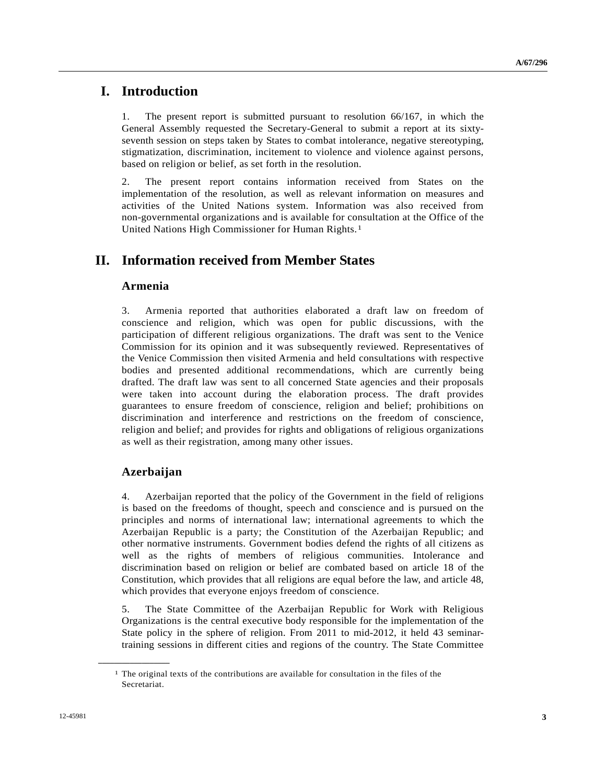## **I. Introduction**

1. The present report is submitted pursuant to resolution 66/167, in which the General Assembly requested the Secretary-General to submit a report at its sixtyseventh session on steps taken by States to combat intolerance, negative stereotyping, stigmatization, discrimination, incitement to violence and violence against persons, based on religion or belief, as set forth in the resolution.

2. The present report contains information received from States on the implementation of the resolution, as well as relevant information on measures and activities of the United Nations system. Information was also received from non-governmental organizations and is available for consultation at the Office of the United Nations High Commissioner for Human Rights.[1](#page-2-0)

# **II. Information received from Member States**

## **Armenia**

3. Armenia reported that authorities elaborated a draft law on freedom of conscience and religion, which was open for public discussions, with the participation of different religious organizations. The draft was sent to the Venice Commission for its opinion and it was subsequently reviewed. Representatives of the Venice Commission then visited Armenia and held consultations with respective bodies and presented additional recommendations, which are currently being drafted. The draft law was sent to all concerned State agencies and their proposals were taken into account during the elaboration process. The draft provides guarantees to ensure freedom of conscience, religion and belief; prohibitions on discrimination and interference and restrictions on the freedom of conscience, religion and belief; and provides for rights and obligations of religious organizations as well as their registration, among many other issues.

## **Azerbaijan**

<span id="page-2-0"></span>**\_\_\_\_\_\_\_\_\_\_\_\_\_\_\_\_\_\_** 

4. Azerbaijan reported that the policy of the Government in the field of religions is based on the freedoms of thought, speech and conscience and is pursued on the principles and norms of international law; international agreements to which the Azerbaijan Republic is a party; the Constitution of the Azerbaijan Republic; and other normative instruments. Government bodies defend the rights of all citizens as well as the rights of members of religious communities. Intolerance and discrimination based on religion or belief are combated based on article 18 of the Constitution, which provides that all religions are equal before the law, and article 48, which provides that everyone enjoys freedom of conscience.

5. The State Committee of the Azerbaijan Republic for Work with Religious Organizations is the central executive body responsible for the implementation of the State policy in the sphere of religion. From 2011 to mid-2012, it held 43 seminartraining sessions in different cities and regions of the country. The State Committee

 $<sup>1</sup>$  The original texts of the contributions are available for consultation in the files of the</sup> Secretariat.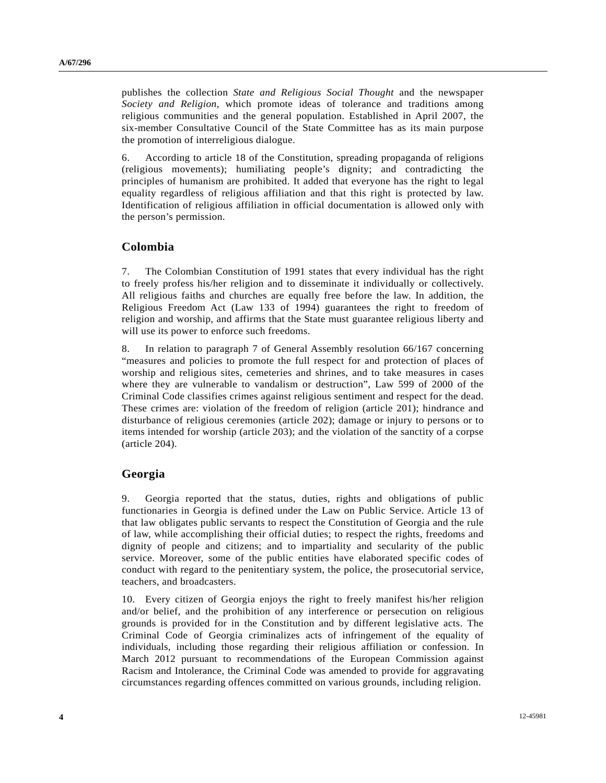publishes the collection *State and Religious Social Thought* and the newspaper *Society and Religion*, which promote ideas of tolerance and traditions among religious communities and the general population. Established in April 2007, the six-member Consultative Council of the State Committee has as its main purpose the promotion of interreligious dialogue.

6. According to article 18 of the Constitution, spreading propaganda of religions (religious movements); humiliating people's dignity; and contradicting the principles of humanism are prohibited. It added that everyone has the right to legal equality regardless of religious affiliation and that this right is protected by law. Identification of religious affiliation in official documentation is allowed only with the person's permission.

## **Colombia**

7. The Colombian Constitution of 1991 states that every individual has the right to freely profess his/her religion and to disseminate it individually or collectively. All religious faiths and churches are equally free before the law. In addition, the Religious Freedom Act (Law 133 of 1994) guarantees the right to freedom of religion and worship, and affirms that the State must guarantee religious liberty and will use its power to enforce such freedoms.

8. In relation to paragraph 7 of General Assembly resolution 66/167 concerning "measures and policies to promote the full respect for and protection of places of worship and religious sites, cemeteries and shrines, and to take measures in cases where they are vulnerable to vandalism or destruction", Law 599 of 2000 of the Criminal Code classifies crimes against religious sentiment and respect for the dead. These crimes are: violation of the freedom of religion (article 201); hindrance and disturbance of religious ceremonies (article 202); damage or injury to persons or to items intended for worship (article 203); and the violation of the sanctity of a corpse (article 204).

## **Georgia**

9. Georgia reported that the status, duties, rights and obligations of public functionaries in Georgia is defined under the Law on Public Service. Article 13 of that law obligates public servants to respect the Constitution of Georgia and the rule of law, while accomplishing their official duties; to respect the rights, freedoms and dignity of people and citizens; and to impartiality and secularity of the public service. Moreover, some of the public entities have elaborated specific codes of conduct with regard to the penitentiary system, the police, the prosecutorial service, teachers, and broadcasters.

10. Every citizen of Georgia enjoys the right to freely manifest his/her religion and/or belief, and the prohibition of any interference or persecution on religious grounds is provided for in the Constitution and by different legislative acts. The Criminal Code of Georgia criminalizes acts of infringement of the equality of individuals, including those regarding their religious affiliation or confession. In March 2012 pursuant to recommendations of the European Commission against Racism and Intolerance, the Criminal Code was amended to provide for aggravating circumstances regarding offences committed on various grounds, including religion.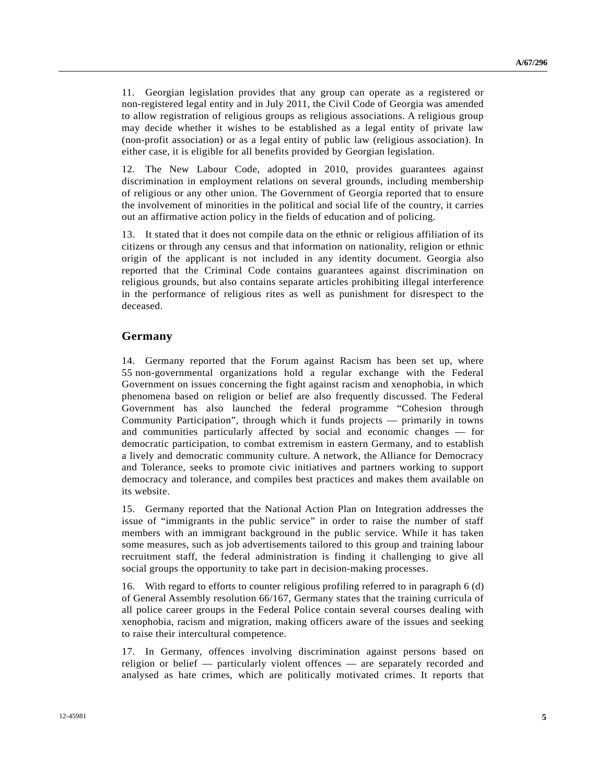11. Georgian legislation provides that any group can operate as a registered or non-registered legal entity and in July 2011, the Civil Code of Georgia was amended to allow registration of religious groups as religious associations. A religious group may decide whether it wishes to be established as a legal entity of private law (non-profit association) or as a legal entity of public law (religious association). In either case, it is eligible for all benefits provided by Georgian legislation.

12. The New Labour Code, adopted in 2010, provides guarantees against discrimination in employment relations on several grounds, including membership of religious or any other union. The Government of Georgia reported that to ensure the involvement of minorities in the political and social life of the country, it carries out an affirmative action policy in the fields of education and of policing.

13. It stated that it does not compile data on the ethnic or religious affiliation of its citizens or through any census and that information on nationality, religion or ethnic origin of the applicant is not included in any identity document. Georgia also reported that the Criminal Code contains guarantees against discrimination on religious grounds, but also contains separate articles prohibiting illegal interference in the performance of religious rites as well as punishment for disrespect to the deceased.

### **Germany**

14. Germany reported that the Forum against Racism has been set up, where 55 non-governmental organizations hold a regular exchange with the Federal Government on issues concerning the fight against racism and xenophobia, in which phenomena based on religion or belief are also frequently discussed. The Federal Government has also launched the federal programme "Cohesion through Community Participation", through which it funds projects — primarily in towns and communities particularly affected by social and economic changes — for democratic participation, to combat extremism in eastern Germany, and to establish a lively and democratic community culture. A network, the Alliance for Democracy and Tolerance, seeks to promote civic initiatives and partners working to support democracy and tolerance, and compiles best practices and makes them available on its website.

15. Germany reported that the National Action Plan on Integration addresses the issue of "immigrants in the public service" in order to raise the number of staff members with an immigrant background in the public service. While it has taken some measures, such as job advertisements tailored to this group and training labour recruitment staff, the federal administration is finding it challenging to give all social groups the opportunity to take part in decision-making processes.

16. With regard to efforts to counter religious profiling referred to in paragraph 6 (d) of General Assembly resolution 66/167, Germany states that the training curricula of all police career groups in the Federal Police contain several courses dealing with xenophobia, racism and migration, making officers aware of the issues and seeking to raise their intercultural competence.

17. In Germany, offences involving discrimination against persons based on religion or belief — particularly violent offences — are separately recorded and analysed as hate crimes, which are politically motivated crimes. It reports that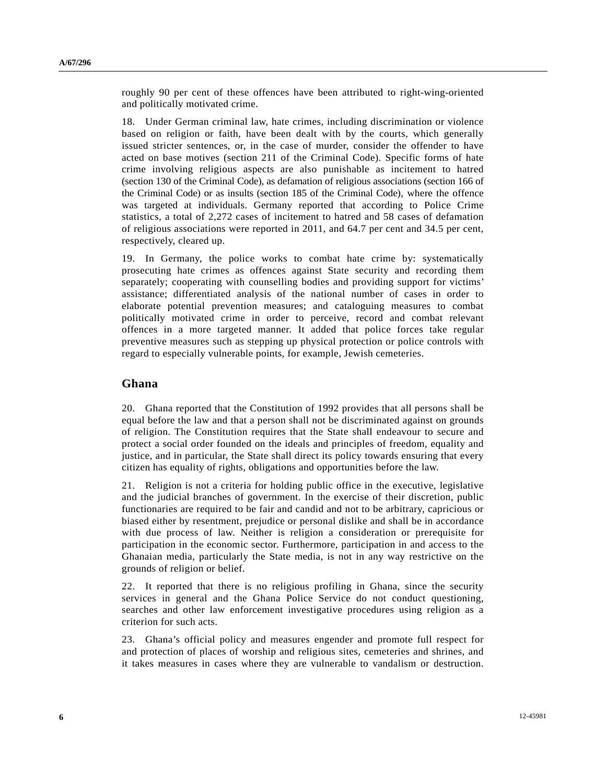roughly 90 per cent of these offences have been attributed to right-wing-oriented and politically motivated crime.

18. Under German criminal law, hate crimes, including discrimination or violence based on religion or faith, have been dealt with by the courts, which generally issued stricter sentences, or, in the case of murder, consider the offender to have acted on base motives (section 211 of the Criminal Code). Specific forms of hate crime involving religious aspects are also punishable as incitement to hatred (section 130 of the Criminal Code), as defamation of religious associations (section 166 of the Criminal Code) or as insults (section 185 of the Criminal Code), where the offence was targeted at individuals. Germany reported that according to Police Crime statistics, a total of 2,272 cases of incitement to hatred and 58 cases of defamation of religious associations were reported in 2011, and 64.7 per cent and 34.5 per cent, respectively, cleared up.

19. In Germany, the police works to combat hate crime by: systematically prosecuting hate crimes as offences against State security and recording them separately; cooperating with counselling bodies and providing support for victims' assistance; differentiated analysis of the national number of cases in order to elaborate potential prevention measures; and cataloguing measures to combat politically motivated crime in order to perceive, record and combat relevant offences in a more targeted manner. It added that police forces take regular preventive measures such as stepping up physical protection or police controls with regard to especially vulnerable points, for example, Jewish cemeteries.

#### **Ghana**

20. Ghana reported that the Constitution of 1992 provides that all persons shall be equal before the law and that a person shall not be discriminated against on grounds of religion. The Constitution requires that the State shall endeavour to secure and protect a social order founded on the ideals and principles of freedom, equality and justice, and in particular, the State shall direct its policy towards ensuring that every citizen has equality of rights, obligations and opportunities before the law.

21. Religion is not a criteria for holding public office in the executive, legislative and the judicial branches of government. In the exercise of their discretion, public functionaries are required to be fair and candid and not to be arbitrary, capricious or biased either by resentment, prejudice or personal dislike and shall be in accordance with due process of law. Neither is religion a consideration or prerequisite for participation in the economic sector. Furthermore, participation in and access to the Ghanaian media, particularly the State media, is not in any way restrictive on the grounds of religion or belief.

22. It reported that there is no religious profiling in Ghana, since the security services in general and the Ghana Police Service do not conduct questioning, searches and other law enforcement investigative procedures using religion as a criterion for such acts.

23. Ghana's official policy and measures engender and promote full respect for and protection of places of worship and religious sites, cemeteries and shrines, and it takes measures in cases where they are vulnerable to vandalism or destruction.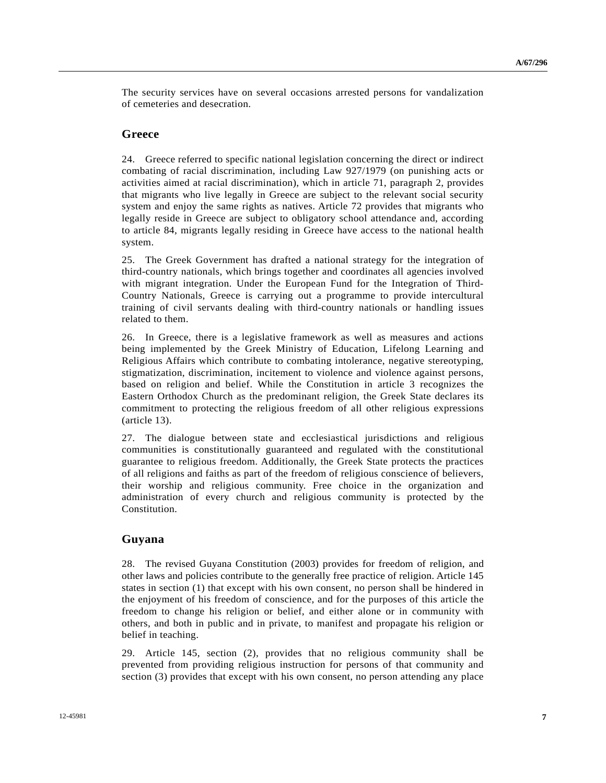The security services have on several occasions arrested persons for vandalization of cemeteries and desecration.

### **Greece**

24. Greece referred to specific national legislation concerning the direct or indirect combating of racial discrimination, including Law 927/1979 (on punishing acts or activities aimed at racial discrimination), which in article 71, paragraph 2, provides that migrants who live legally in Greece are subject to the relevant social security system and enjoy the same rights as natives. Article 72 provides that migrants who legally reside in Greece are subject to obligatory school attendance and, according to article 84, migrants legally residing in Greece have access to the national health system.

25. The Greek Government has drafted a national strategy for the integration of third-country nationals, which brings together and coordinates all agencies involved with migrant integration. Under the European Fund for the Integration of Third-Country Nationals, Greece is carrying out a programme to provide intercultural training of civil servants dealing with third-country nationals or handling issues related to them.

26. In Greece, there is a legislative framework as well as measures and actions being implemented by the Greek Ministry of Education, Lifelong Learning and Religious Affairs which contribute to combating intolerance, negative stereotyping, stigmatization, discrimination, incitement to violence and violence against persons, based on religion and belief. While the Constitution in article 3 recognizes the Eastern Orthodox Church as the predominant religion, the Greek State declares its commitment to protecting the religious freedom of all other religious expressions (article 13).

27. The dialogue between state and ecclesiastical jurisdictions and religious communities is constitutionally guaranteed and regulated with the constitutional guarantee to religious freedom. Additionally, the Greek State protects the practices of all religions and faiths as part of the freedom of religious conscience of believers, their worship and religious community. Free choice in the organization and administration of every church and religious community is protected by the Constitution.

#### **Guyana**

28. The revised Guyana Constitution (2003) provides for freedom of religion, and other laws and policies contribute to the generally free practice of religion. Article 145 states in section (1) that except with his own consent, no person shall be hindered in the enjoyment of his freedom of conscience, and for the purposes of this article the freedom to change his religion or belief, and either alone or in community with others, and both in public and in private, to manifest and propagate his religion or belief in teaching.

29. Article 145, section (2), provides that no religious community shall be prevented from providing religious instruction for persons of that community and section (3) provides that except with his own consent, no person attending any place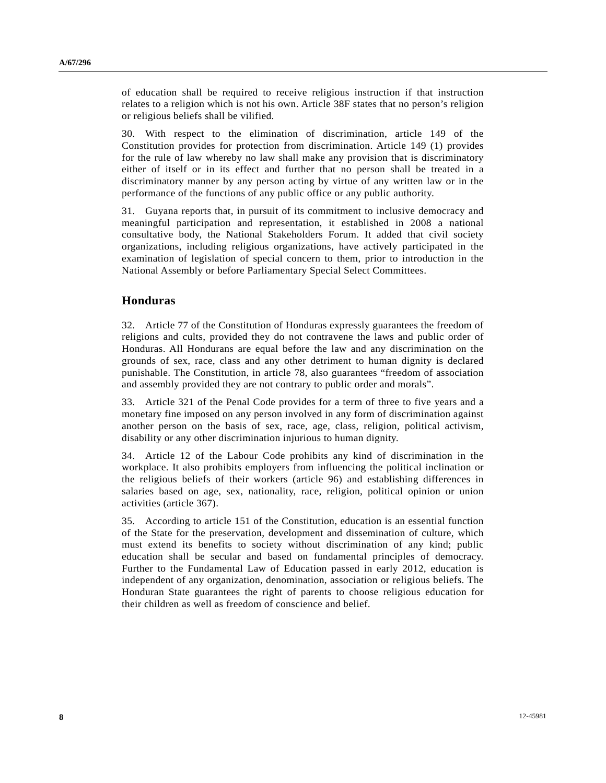of education shall be required to receive religious instruction if that instruction relates to a religion which is not his own. Article 38F states that no person's religion or religious beliefs shall be vilified.

30. With respect to the elimination of discrimination, article 149 of the Constitution provides for protection from discrimination. Article 149 (1) provides for the rule of law whereby no law shall make any provision that is discriminatory either of itself or in its effect and further that no person shall be treated in a discriminatory manner by any person acting by virtue of any written law or in the performance of the functions of any public office or any public authority.

31. Guyana reports that, in pursuit of its commitment to inclusive democracy and meaningful participation and representation, it established in 2008 a national consultative body, the National Stakeholders Forum. It added that civil society organizations, including religious organizations, have actively participated in the examination of legislation of special concern to them, prior to introduction in the National Assembly or before Parliamentary Special Select Committees.

### **Honduras**

32. Article 77 of the Constitution of Honduras expressly guarantees the freedom of religions and cults, provided they do not contravene the laws and public order of Honduras. All Hondurans are equal before the law and any discrimination on the grounds of sex, race, class and any other detriment to human dignity is declared punishable. The Constitution, in article 78, also guarantees "freedom of association and assembly provided they are not contrary to public order and morals".

33. Article 321 of the Penal Code provides for a term of three to five years and a monetary fine imposed on any person involved in any form of discrimination against another person on the basis of sex, race, age, class, religion, political activism, disability or any other discrimination injurious to human dignity.

34. Article 12 of the Labour Code prohibits any kind of discrimination in the workplace. It also prohibits employers from influencing the political inclination or the religious beliefs of their workers (article 96) and establishing differences in salaries based on age, sex, nationality, race, religion, political opinion or union activities (article 367).

35. According to article 151 of the Constitution, education is an essential function of the State for the preservation, development and dissemination of culture, which must extend its benefits to society without discrimination of any kind; public education shall be secular and based on fundamental principles of democracy. Further to the Fundamental Law of Education passed in early 2012, education is independent of any organization, denomination, association or religious beliefs. The Honduran State guarantees the right of parents to choose religious education for their children as well as freedom of conscience and belief.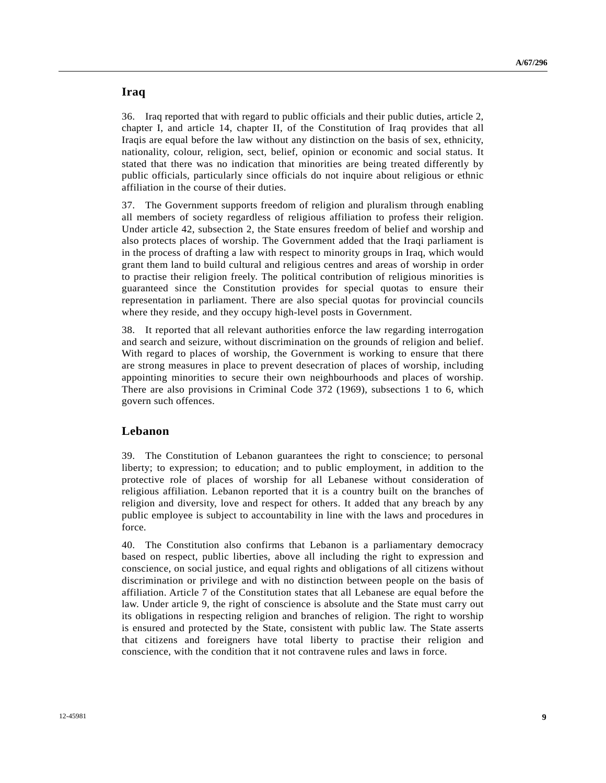### **Iraq**

36. Iraq reported that with regard to public officials and their public duties, article 2, chapter I, and article 14, chapter II, of the Constitution of Iraq provides that all Iraqis are equal before the law without any distinction on the basis of sex, ethnicity, nationality, colour, religion, sect, belief, opinion or economic and social status. It stated that there was no indication that minorities are being treated differently by public officials, particularly since officials do not inquire about religious or ethnic affiliation in the course of their duties.

37. The Government supports freedom of religion and pluralism through enabling all members of society regardless of religious affiliation to profess their religion. Under article 42, subsection 2, the State ensures freedom of belief and worship and also protects places of worship. The Government added that the Iraqi parliament is in the process of drafting a law with respect to minority groups in Iraq, which would grant them land to build cultural and religious centres and areas of worship in order to practise their religion freely. The political contribution of religious minorities is guaranteed since the Constitution provides for special quotas to ensure their representation in parliament. There are also special quotas for provincial councils where they reside, and they occupy high-level posts in Government.

38. It reported that all relevant authorities enforce the law regarding interrogation and search and seizure, without discrimination on the grounds of religion and belief. With regard to places of worship, the Government is working to ensure that there are strong measures in place to prevent desecration of places of worship, including appointing minorities to secure their own neighbourhoods and places of worship. There are also provisions in Criminal Code 372 (1969), subsections 1 to 6, which govern such offences.

## **Lebanon**

39. The Constitution of Lebanon guarantees the right to conscience; to personal liberty; to expression; to education; and to public employment, in addition to the protective role of places of worship for all Lebanese without consideration of religious affiliation. Lebanon reported that it is a country built on the branches of religion and diversity, love and respect for others. It added that any breach by any public employee is subject to accountability in line with the laws and procedures in force.

40. The Constitution also confirms that Lebanon is a parliamentary democracy based on respect, public liberties, above all including the right to expression and conscience, on social justice, and equal rights and obligations of all citizens without discrimination or privilege and with no distinction between people on the basis of affiliation. Article 7 of the Constitution states that all Lebanese are equal before the law. Under article 9, the right of conscience is absolute and the State must carry out its obligations in respecting religion and branches of religion. The right to worship is ensured and protected by the State, consistent with public law. The State asserts that citizens and foreigners have total liberty to practise their religion and conscience, with the condition that it not contravene rules and laws in force.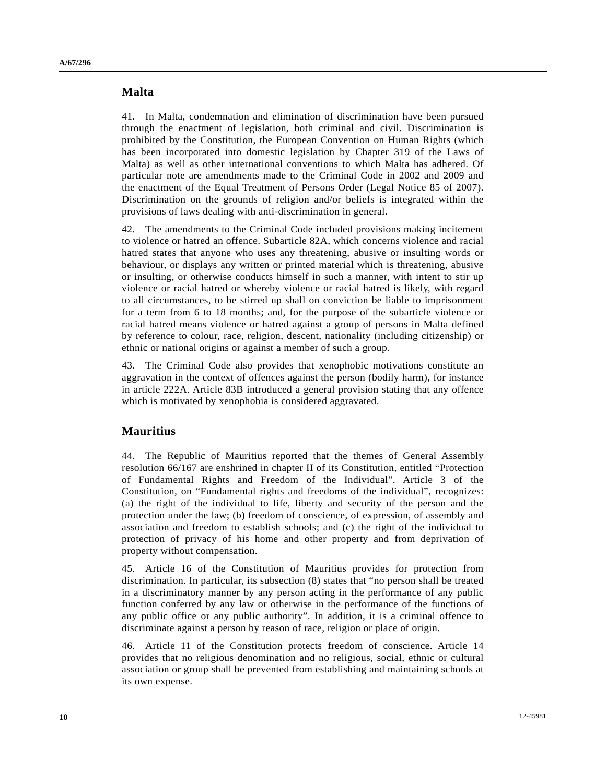### **Malta**

41. In Malta, condemnation and elimination of discrimination have been pursued through the enactment of legislation, both criminal and civil. Discrimination is prohibited by the Constitution, the European Convention on Human Rights (which has been incorporated into domestic legislation by Chapter 319 of the Laws of Malta) as well as other international conventions to which Malta has adhered. Of particular note are amendments made to the Criminal Code in 2002 and 2009 and the enactment of the Equal Treatment of Persons Order (Legal Notice 85 of 2007). Discrimination on the grounds of religion and/or beliefs is integrated within the provisions of laws dealing with anti-discrimination in general.

42. The amendments to the Criminal Code included provisions making incitement to violence or hatred an offence. Subarticle 82A, which concerns violence and racial hatred states that anyone who uses any threatening, abusive or insulting words or behaviour, or displays any written or printed material which is threatening, abusive or insulting, or otherwise conducts himself in such a manner, with intent to stir up violence or racial hatred or whereby violence or racial hatred is likely, with regard to all circumstances, to be stirred up shall on conviction be liable to imprisonment for a term from 6 to 18 months; and, for the purpose of the subarticle violence or racial hatred means violence or hatred against a group of persons in Malta defined by reference to colour, race, religion, descent, nationality (including citizenship) or ethnic or national origins or against a member of such a group.

43. The Criminal Code also provides that xenophobic motivations constitute an aggravation in the context of offences against the person (bodily harm), for instance in article 222A. Article 83B introduced a general provision stating that any offence which is motivated by xenophobia is considered aggravated.

#### **Mauritius**

44. The Republic of Mauritius reported that the themes of General Assembly resolution 66/167 are enshrined in chapter II of its Constitution, entitled "Protection of Fundamental Rights and Freedom of the Individual". Article 3 of the Constitution, on "Fundamental rights and freedoms of the individual", recognizes: (a) the right of the individual to life, liberty and security of the person and the protection under the law; (b) freedom of conscience, of expression, of assembly and association and freedom to establish schools; and (c) the right of the individual to protection of privacy of his home and other property and from deprivation of property without compensation.

45. Article 16 of the Constitution of Mauritius provides for protection from discrimination. In particular, its subsection (8) states that "no person shall be treated in a discriminatory manner by any person acting in the performance of any public function conferred by any law or otherwise in the performance of the functions of any public office or any public authority". In addition, it is a criminal offence to discriminate against a person by reason of race, religion or place of origin.

46. Article 11 of the Constitution protects freedom of conscience. Article 14 provides that no religious denomination and no religious, social, ethnic or cultural association or group shall be prevented from establishing and maintaining schools at its own expense.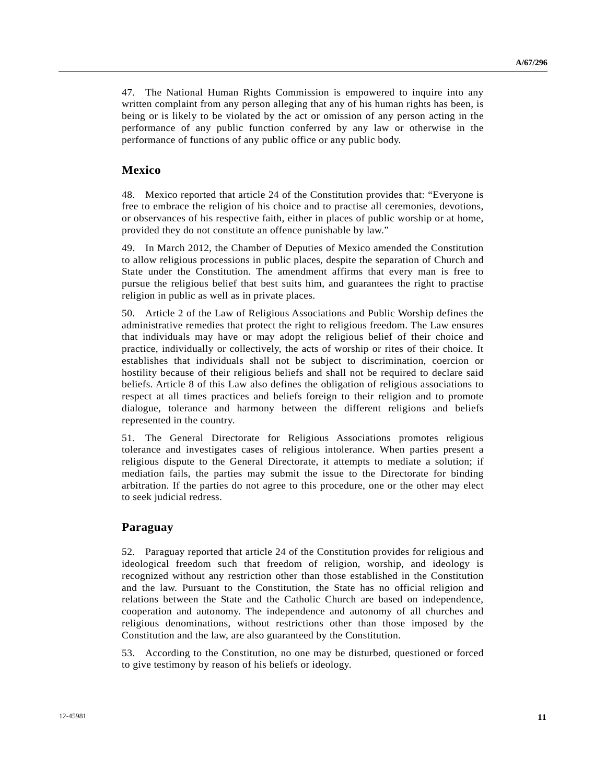47. The National Human Rights Commission is empowered to inquire into any written complaint from any person alleging that any of his human rights has been, is being or is likely to be violated by the act or omission of any person acting in the performance of any public function conferred by any law or otherwise in the performance of functions of any public office or any public body.

#### **Mexico**

48. Mexico reported that article 24 of the Constitution provides that: "Everyone is free to embrace the religion of his choice and to practise all ceremonies, devotions, or observances of his respective faith, either in places of public worship or at home, provided they do not constitute an offence punishable by law."

49. In March 2012, the Chamber of Deputies of Mexico amended the Constitution to allow religious processions in public places, despite the separation of Church and State under the Constitution. The amendment affirms that every man is free to pursue the religious belief that best suits him, and guarantees the right to practise religion in public as well as in private places.

50. Article 2 of the Law of Religious Associations and Public Worship defines the administrative remedies that protect the right to religious freedom. The Law ensures that individuals may have or may adopt the religious belief of their choice and practice, individually or collectively, the acts of worship or rites of their choice. It establishes that individuals shall not be subject to discrimination, coercion or hostility because of their religious beliefs and shall not be required to declare said beliefs. Article 8 of this Law also defines the obligation of religious associations to respect at all times practices and beliefs foreign to their religion and to promote dialogue, tolerance and harmony between the different religions and beliefs represented in the country.

51. The General Directorate for Religious Associations promotes religious tolerance and investigates cases of religious intolerance. When parties present a religious dispute to the General Directorate, it attempts to mediate a solution; if mediation fails, the parties may submit the issue to the Directorate for binding arbitration. If the parties do not agree to this procedure, one or the other may elect to seek judicial redress.

#### **Paraguay**

52. Paraguay reported that article 24 of the Constitution provides for religious and ideological freedom such that freedom of religion, worship, and ideology is recognized without any restriction other than those established in the Constitution and the law. Pursuant to the Constitution, the State has no official religion and relations between the State and the Catholic Church are based on independence, cooperation and autonomy. The independence and autonomy of all churches and religious denominations, without restrictions other than those imposed by the Constitution and the law, are also guaranteed by the Constitution.

53. According to the Constitution, no one may be disturbed, questioned or forced to give testimony by reason of his beliefs or ideology.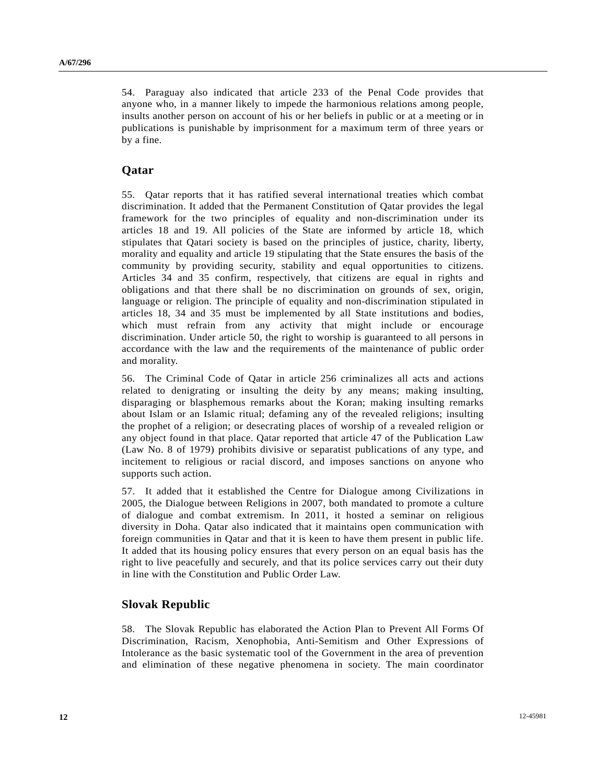54. Paraguay also indicated that article 233 of the Penal Code provides that anyone who, in a manner likely to impede the harmonious relations among people, insults another person on account of his or her beliefs in public or at a meeting or in publications is punishable by imprisonment for a maximum term of three years or by a fine.

#### **Qatar**

55. Qatar reports that it has ratified several international treaties which combat discrimination. It added that the Permanent Constitution of Qatar provides the legal framework for the two principles of equality and non-discrimination under its articles 18 and 19. All policies of the State are informed by article 18, which stipulates that Qatari society is based on the principles of justice, charity, liberty, morality and equality and article 19 stipulating that the State ensures the basis of the community by providing security, stability and equal opportunities to citizens. Articles 34 and 35 confirm, respectively, that citizens are equal in rights and obligations and that there shall be no discrimination on grounds of sex, origin, language or religion. The principle of equality and non-discrimination stipulated in articles 18, 34 and 35 must be implemented by all State institutions and bodies, which must refrain from any activity that might include or encourage discrimination. Under article 50, the right to worship is guaranteed to all persons in accordance with the law and the requirements of the maintenance of public order and morality.

56. The Criminal Code of Qatar in article 256 criminalizes all acts and actions related to denigrating or insulting the deity by any means; making insulting, disparaging or blasphemous remarks about the Koran; making insulting remarks about Islam or an Islamic ritual; defaming any of the revealed religions; insulting the prophet of a religion; or desecrating places of worship of a revealed religion or any object found in that place. Qatar reported that article 47 of the Publication Law (Law No. 8 of 1979) prohibits divisive or separatist publications of any type, and incitement to religious or racial discord, and imposes sanctions on anyone who supports such action.

57. It added that it established the Centre for Dialogue among Civilizations in 2005, the Dialogue between Religions in 2007, both mandated to promote a culture of dialogue and combat extremism. In 2011, it hosted a seminar on religious diversity in Doha. Qatar also indicated that it maintains open communication with foreign communities in Qatar and that it is keen to have them present in public life. It added that its housing policy ensures that every person on an equal basis has the right to live peacefully and securely, and that its police services carry out their duty in line with the Constitution and Public Order Law.

#### **Slovak Republic**

58. The Slovak Republic has elaborated the Action Plan to Prevent All Forms Of Discrimination, Racism, Xenophobia, Anti-Semitism and Other Expressions of Intolerance as the basic systematic tool of the Government in the area of prevention and elimination of these negative phenomena in society. The main coordinator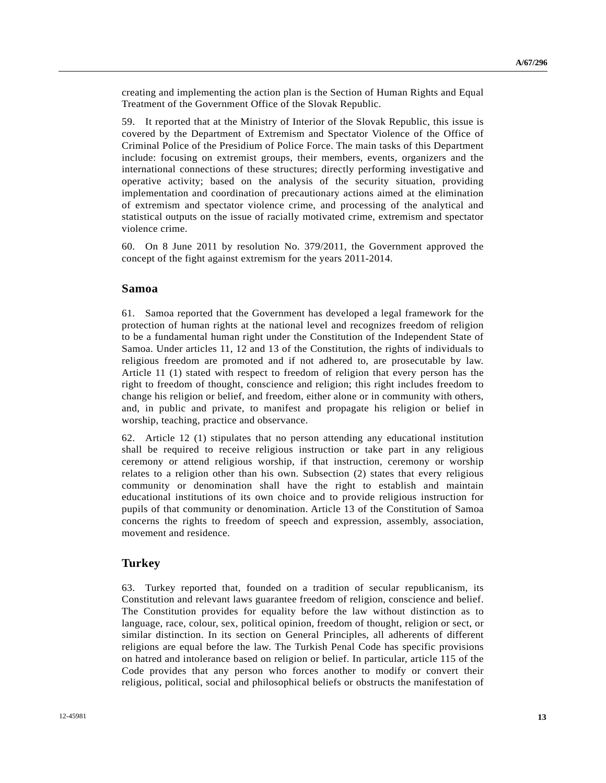creating and implementing the action plan is the Section of Human Rights and Equal Treatment of the Government Office of the Slovak Republic.

59. It reported that at the Ministry of Interior of the Slovak Republic, this issue is covered by the Department of Extremism and Spectator Violence of the Office of Criminal Police of the Presidium of Police Force. The main tasks of this Department include: focusing on extremist groups, their members, events, organizers and the international connections of these structures; directly performing investigative and operative activity; based on the analysis of the security situation, providing implementation and coordination of precautionary actions aimed at the elimination of extremism and spectator violence crime, and processing of the analytical and statistical outputs on the issue of racially motivated crime, extremism and spectator violence crime.

60. On 8 June 2011 by resolution No. 379/2011, the Government approved the concept of the fight against extremism for the years 2011-2014.

#### **Samoa**

61. Samoa reported that the Government has developed a legal framework for the protection of human rights at the national level and recognizes freedom of religion to be a fundamental human right under the Constitution of the Independent State of Samoa. Under articles 11, 12 and 13 of the Constitution, the rights of individuals to religious freedom are promoted and if not adhered to, are prosecutable by law. Article 11 (1) stated with respect to freedom of religion that every person has the right to freedom of thought, conscience and religion; this right includes freedom to change his religion or belief, and freedom, either alone or in community with others, and, in public and private, to manifest and propagate his religion or belief in worship, teaching, practice and observance.

62. Article 12 (1) stipulates that no person attending any educational institution shall be required to receive religious instruction or take part in any religious ceremony or attend religious worship, if that instruction, ceremony or worship relates to a religion other than his own. Subsection (2) states that every religious community or denomination shall have the right to establish and maintain educational institutions of its own choice and to provide religious instruction for pupils of that community or denomination. Article 13 of the Constitution of Samoa concerns the rights to freedom of speech and expression, assembly, association, movement and residence.

#### **Turkey**

63. Turkey reported that, founded on a tradition of secular republicanism, its Constitution and relevant laws guarantee freedom of religion, conscience and belief. The Constitution provides for equality before the law without distinction as to language, race, colour, sex, political opinion, freedom of thought, religion or sect, or similar distinction. In its section on General Principles, all adherents of different religions are equal before the law. The Turkish Penal Code has specific provisions on hatred and intolerance based on religion or belief. In particular, article 115 of the Code provides that any person who forces another to modify or convert their religious, political, social and philosophical beliefs or obstructs the manifestation of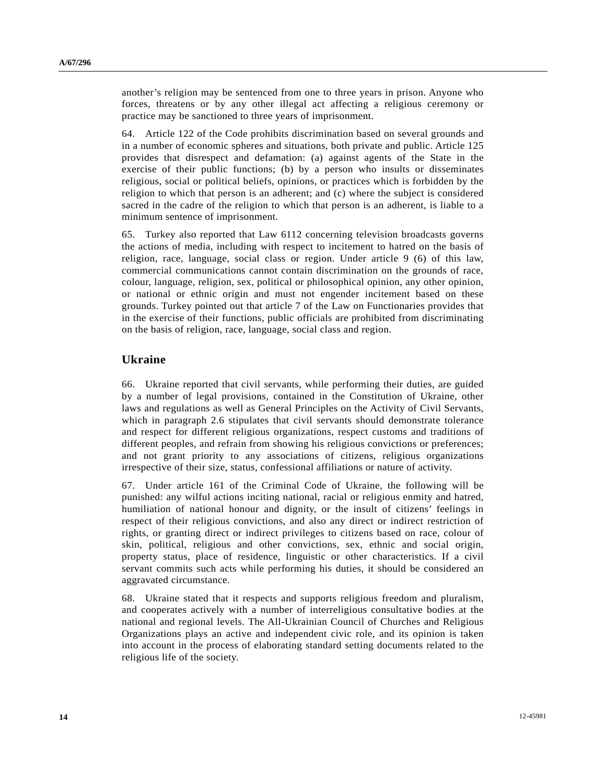another's religion may be sentenced from one to three years in prison. Anyone who forces, threatens or by any other illegal act affecting a religious ceremony or practice may be sanctioned to three years of imprisonment.

64. Article 122 of the Code prohibits discrimination based on several grounds and in a number of economic spheres and situations, both private and public. Article 125 provides that disrespect and defamation: (a) against agents of the State in the exercise of their public functions; (b) by a person who insults or disseminates religious, social or political beliefs, opinions, or practices which is forbidden by the religion to which that person is an adherent; and (c) where the subject is considered sacred in the cadre of the religion to which that person is an adherent, is liable to a minimum sentence of imprisonment.

65. Turkey also reported that Law 6112 concerning television broadcasts governs the actions of media, including with respect to incitement to hatred on the basis of religion, race, language, social class or region. Under article 9 (6) of this law, commercial communications cannot contain discrimination on the grounds of race, colour, language, religion, sex, political or philosophical opinion, any other opinion, or national or ethnic origin and must not engender incitement based on these grounds. Turkey pointed out that article 7 of the Law on Functionaries provides that in the exercise of their functions, public officials are prohibited from discriminating on the basis of religion, race, language, social class and region.

#### **Ukraine**

66. Ukraine reported that civil servants, while performing their duties, are guided by a number of legal provisions, contained in the Constitution of Ukraine, other laws and regulations as well as General Principles on the Activity of Civil Servants, which in paragraph 2.6 stipulates that civil servants should demonstrate tolerance and respect for different religious organizations, respect customs and traditions of different peoples, and refrain from showing his religious convictions or preferences; and not grant priority to any associations of citizens, religious organizations irrespective of their size, status, confessional affiliations or nature of activity.

67. Under article 161 of the Criminal Code of Ukraine, the following will be punished: any wilful actions inciting national, racial or religious enmity and hatred, humiliation of national honour and dignity, or the insult of citizens' feelings in respect of their religious convictions, and also any direct or indirect restriction of rights, or granting direct or indirect privileges to citizens based on race, colour of skin, political, religious and other convictions, sex, ethnic and social origin, property status, place of residence, linguistic or other characteristics. If a civil servant commits such acts while performing his duties, it should be considered an aggravated circumstance.

68. Ukraine stated that it respects and supports religious freedom and pluralism, and cooperates actively with a number of interreligious consultative bodies at the national and regional levels. The All-Ukrainian Council of Churches and Religious Organizations plays an active and independent civic role, and its opinion is taken into account in the process of elaborating standard setting documents related to the religious life of the society.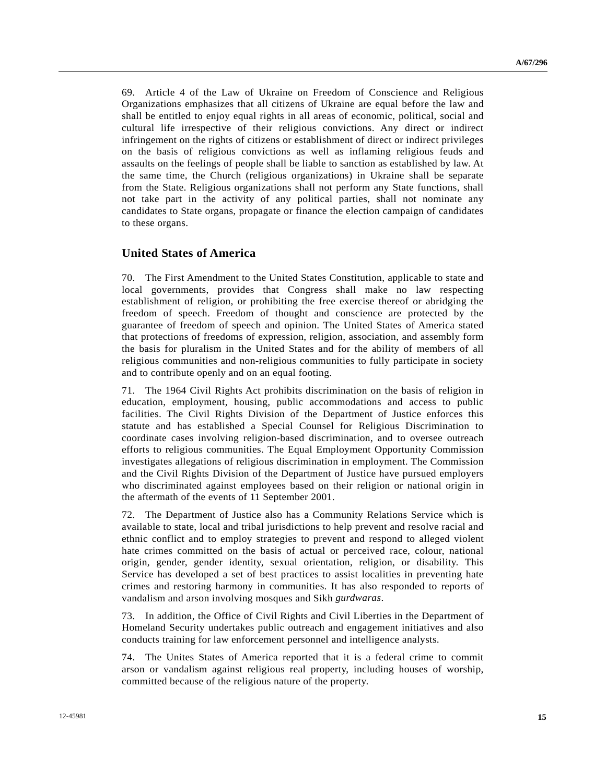69. Article 4 of the Law of Ukraine on Freedom of Conscience and Religious Organizations emphasizes that all citizens of Ukraine are equal before the law and shall be entitled to enjoy equal rights in all areas of economic, political, social and cultural life irrespective of their religious convictions. Any direct or indirect infringement on the rights of citizens or establishment of direct or indirect privileges on the basis of religious convictions as well as inflaming religious feuds and assaults on the feelings of people shall be liable to sanction as established by law. At the same time, the Church (religious organizations) in Ukraine shall be separate from the State. Religious organizations shall not perform any State functions, shall not take part in the activity of any political parties, shall not nominate any candidates to State organs, propagate or finance the election campaign of candidates to these organs.

### **United States of America**

70. The First Amendment to the United States Constitution, applicable to state and local governments, provides that Congress shall make no law respecting establishment of religion, or prohibiting the free exercise thereof or abridging the freedom of speech. Freedom of thought and conscience are protected by the guarantee of freedom of speech and opinion. The United States of America stated that protections of freedoms of expression, religion, association, and assembly form the basis for pluralism in the United States and for the ability of members of all religious communities and non-religious communities to fully participate in society and to contribute openly and on an equal footing.

71. The 1964 Civil Rights Act prohibits discrimination on the basis of religion in education, employment, housing, public accommodations and access to public facilities. The Civil Rights Division of the Department of Justice enforces this statute and has established a Special Counsel for Religious Discrimination to coordinate cases involving religion-based discrimination, and to oversee outreach efforts to religious communities. The Equal Employment Opportunity Commission investigates allegations of religious discrimination in employment. The Commission and the Civil Rights Division of the Department of Justice have pursued employers who discriminated against employees based on their religion or national origin in the aftermath of the events of 11 September 2001.

72. The Department of Justice also has a Community Relations Service which is available to state, local and tribal jurisdictions to help prevent and resolve racial and ethnic conflict and to employ strategies to prevent and respond to alleged violent hate crimes committed on the basis of actual or perceived race, colour, national origin, gender, gender identity, sexual orientation, religion, or disability. This Service has developed a set of best practices to assist localities in preventing hate crimes and restoring harmony in communities. It has also responded to reports of vandalism and arson involving mosques and Sikh *gurdwaras*.

73. In addition, the Office of Civil Rights and Civil Liberties in the Department of Homeland Security undertakes public outreach and engagement initiatives and also conducts training for law enforcement personnel and intelligence analysts.

74. The Unites States of America reported that it is a federal crime to commit arson or vandalism against religious real property, including houses of worship, committed because of the religious nature of the property.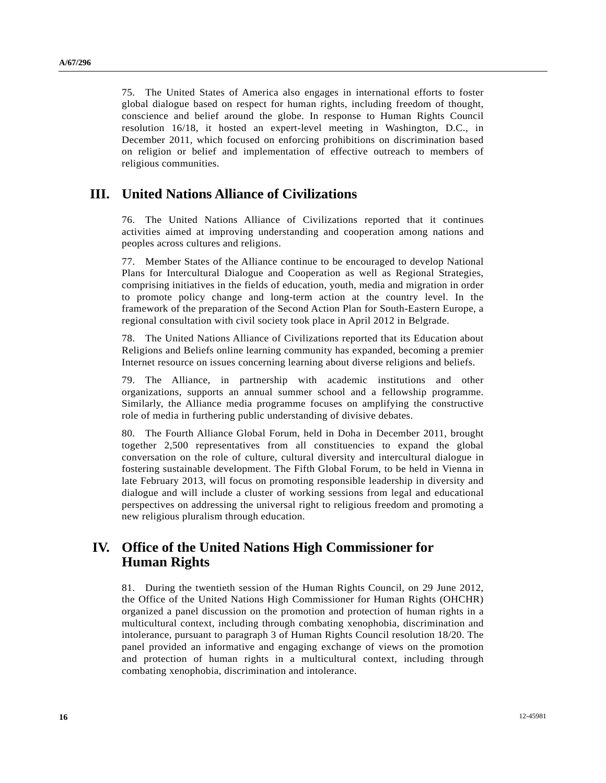75. The United States of America also engages in international efforts to foster global dialogue based on respect for human rights, including freedom of thought, conscience and belief around the globe. In response to Human Rights Council resolution 16/18, it hosted an expert-level meeting in Washington, D.C., in December 2011, which focused on enforcing prohibitions on discrimination based on religion or belief and implementation of effective outreach to members of religious communities.

## **III. United Nations Alliance of Civilizations**

76. The United Nations Alliance of Civilizations reported that it continues activities aimed at improving understanding and cooperation among nations and peoples across cultures and religions.

77. Member States of the Alliance continue to be encouraged to develop National Plans for Intercultural Dialogue and Cooperation as well as Regional Strategies, comprising initiatives in the fields of education, youth, media and migration in order to promote policy change and long-term action at the country level. In the framework of the preparation of the Second Action Plan for South-Eastern Europe, a regional consultation with civil society took place in April 2012 in Belgrade.

78. The United Nations Alliance of Civilizations reported that its Education about Religions and Beliefs online learning community has expanded, becoming a premier Internet resource on issues concerning learning about diverse religions and beliefs.

79. The Alliance, in partnership with academic institutions and other organizations, supports an annual summer school and a fellowship programme. Similarly, the Alliance media programme focuses on amplifying the constructive role of media in furthering public understanding of divisive debates.

80. The Fourth Alliance Global Forum, held in Doha in December 2011, brought together 2,500 representatives from all constituencies to expand the global conversation on the role of culture, cultural diversity and intercultural dialogue in fostering sustainable development. The Fifth Global Forum, to be held in Vienna in late February 2013, will focus on promoting responsible leadership in diversity and dialogue and will include a cluster of working sessions from legal and educational perspectives on addressing the universal right to religious freedom and promoting a new religious pluralism through education.

# **IV. Office of the United Nations High Commissioner for Human Rights**

81. During the twentieth session of the Human Rights Council, on 29 June 2012, the Office of the United Nations High Commissioner for Human Rights (OHCHR) organized a panel discussion on the promotion and protection of human rights in a multicultural context, including through combating xenophobia, discrimination and intolerance, pursuant to paragraph 3 of Human Rights Council resolution 18/20. The panel provided an informative and engaging exchange of views on the promotion and protection of human rights in a multicultural context, including through combating xenophobia, discrimination and intolerance.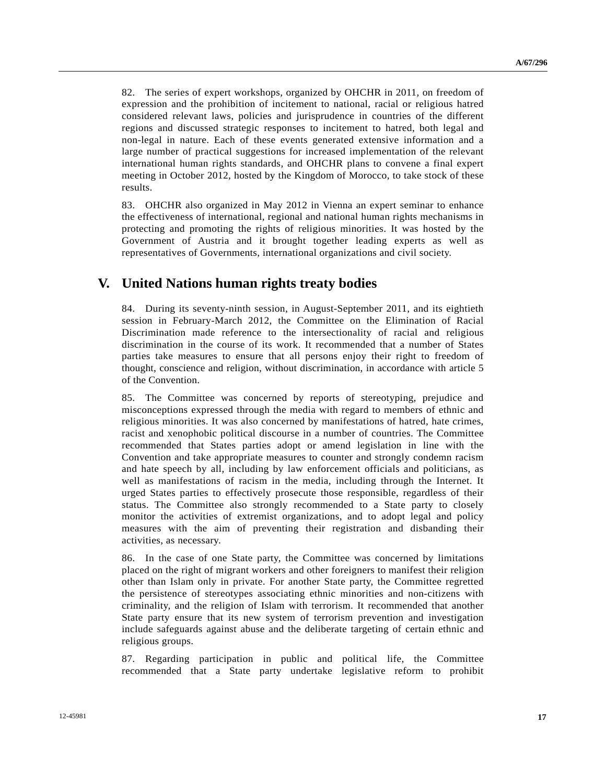82. The series of expert workshops, organized by OHCHR in 2011, on freedom of expression and the prohibition of incitement to national, racial or religious hatred considered relevant laws, policies and jurisprudence in countries of the different regions and discussed strategic responses to incitement to hatred, both legal and non-legal in nature. Each of these events generated extensive information and a large number of practical suggestions for increased implementation of the relevant international human rights standards, and OHCHR plans to convene a final expert meeting in October 2012, hosted by the Kingdom of Morocco, to take stock of these results.

83. OHCHR also organized in May 2012 in Vienna an expert seminar to enhance the effectiveness of international, regional and national human rights mechanisms in protecting and promoting the rights of religious minorities. It was hosted by the Government of Austria and it brought together leading experts as well as representatives of Governments, international organizations and civil society.

## **V. United Nations human rights treaty bodies**

84. During its seventy-ninth session, in August-September 2011, and its eightieth session in February-March 2012, the Committee on the Elimination of Racial Discrimination made reference to the intersectionality of racial and religious discrimination in the course of its work. It recommended that a number of States parties take measures to ensure that all persons enjoy their right to freedom of thought, conscience and religion, without discrimination, in accordance with article 5 of the Convention.

85. The Committee was concerned by reports of stereotyping, prejudice and misconceptions expressed through the media with regard to members of ethnic and religious minorities. It was also concerned by manifestations of hatred, hate crimes, racist and xenophobic political discourse in a number of countries. The Committee recommended that States parties adopt or amend legislation in line with the Convention and take appropriate measures to counter and strongly condemn racism and hate speech by all, including by law enforcement officials and politicians, as well as manifestations of racism in the media, including through the Internet. It urged States parties to effectively prosecute those responsible, regardless of their status. The Committee also strongly recommended to a State party to closely monitor the activities of extremist organizations, and to adopt legal and policy measures with the aim of preventing their registration and disbanding their activities, as necessary.

86. In the case of one State party, the Committee was concerned by limitations placed on the right of migrant workers and other foreigners to manifest their religion other than Islam only in private. For another State party, the Committee regretted the persistence of stereotypes associating ethnic minorities and non-citizens with criminality, and the religion of Islam with terrorism. It recommended that another State party ensure that its new system of terrorism prevention and investigation include safeguards against abuse and the deliberate targeting of certain ethnic and religious groups.

87. Regarding participation in public and political life, the Committee recommended that a State party undertake legislative reform to prohibit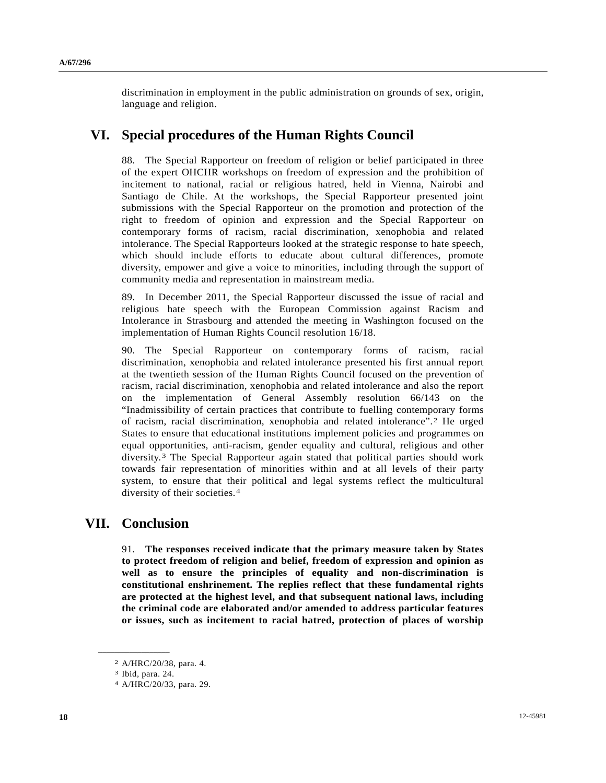discrimination in employment in the public administration on grounds of sex, origin, language and religion.

# **VI. Special procedures of the Human Rights Council**

88. The Special Rapporteur on freedom of religion or belief participated in three of the expert OHCHR workshops on freedom of expression and the prohibition of incitement to national, racial or religious hatred, held in Vienna, Nairobi and Santiago de Chile. At the workshops, the Special Rapporteur presented joint submissions with the Special Rapporteur on the promotion and protection of the right to freedom of opinion and expression and the Special Rapporteur on contemporary forms of racism, racial discrimination, xenophobia and related intolerance. The Special Rapporteurs looked at the strategic response to hate speech, which should include efforts to educate about cultural differences, promote diversity, empower and give a voice to minorities, including through the support of community media and representation in mainstream media.

89. In December 2011, the Special Rapporteur discussed the issue of racial and religious hate speech with the European Commission against Racism and Intolerance in Strasbourg and attended the meeting in Washington focused on the implementation of Human Rights Council resolution 16/18.

90. The Special Rapporteur on contemporary forms of racism, racial discrimination, xenophobia and related intolerance presented his first annual report at the twentieth session of the Human Rights Council focused on the prevention of racism, racial discrimination, xenophobia and related intolerance and also the report on the implementation of General Assembly resolution 66/143 on the "Inadmissibility of certain practices that contribute to fuelling contemporary forms of racism, racial discrimination, xenophobia and related intolerance".[2](#page-17-0) He urged States to ensure that educational institutions implement policies and programmes on equal opportunities, anti-racism, gender equality and cultural, religious and other diversity.[3](#page-17-1) The Special Rapporteur again stated that political parties should work towards fair representation of minorities within and at all levels of their party system, to ensure that their political and legal systems reflect the multicultural diversity of their societies.[4](#page-17-2)

## **VII. Conclusion**

91. **The responses received indicate that the primary measure taken by States to protect freedom of religion and belief, freedom of expression and opinion as well as to ensure the principles of equality and non-discrimination is constitutional enshrinement. The replies reflect that these fundamental rights are protected at the highest level, and that subsequent national laws, including the criminal code are elaborated and/or amended to address particular features or issues, such as incitement to racial hatred, protection of places of worship** 

<span id="page-17-2"></span><span id="page-17-1"></span><span id="page-17-0"></span>**\_\_\_\_\_\_\_\_\_\_\_\_\_\_\_\_\_\_** 

<sup>2</sup> A/HRC/20/38, para. 4.

<sup>3</sup> Ibid, para. 24.

<sup>4</sup> A/HRC/20/33, para. 29.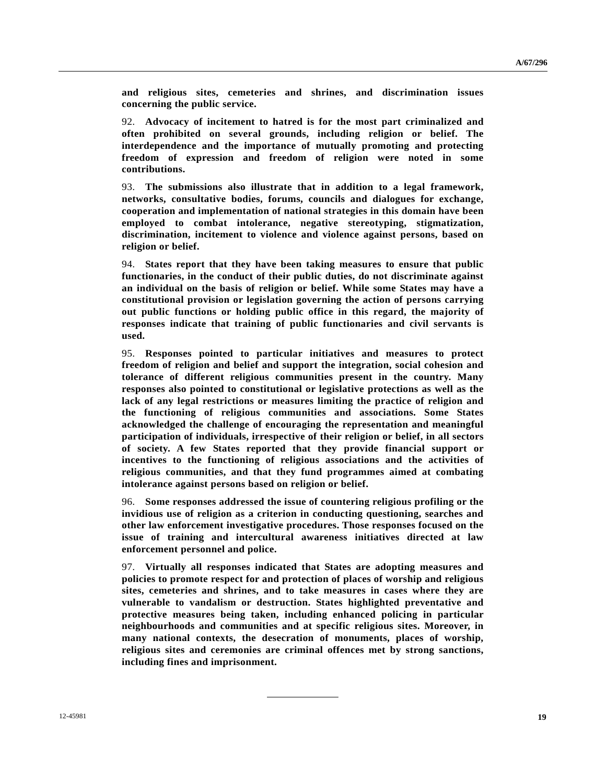**and religious sites, cemeteries and shrines, and discrimination issues concerning the public service.** 

92. **Advocacy of incitement to hatred is for the most part criminalized and often prohibited on several grounds, including religion or belief. The interdependence and the importance of mutually promoting and protecting freedom of expression and freedom of religion were noted in some contributions.**

93. **The submissions also illustrate that in addition to a legal framework, networks, consultative bodies, forums, councils and dialogues for exchange, cooperation and implementation of national strategies in this domain have been employed to combat intolerance, negative stereotyping, stigmatization, discrimination, incitement to violence and violence against persons, based on religion or belief.**

94. **States report that they have been taking measures to ensure that public functionaries, in the conduct of their public duties, do not discriminate against an individual on the basis of religion or belief. While some States may have a constitutional provision or legislation governing the action of persons carrying out public functions or holding public office in this regard, the majority of responses indicate that training of public functionaries and civil servants is used.** 

95. **Responses pointed to particular initiatives and measures to protect freedom of religion and belief and support the integration, social cohesion and tolerance of different religious communities present in the country. Many responses also pointed to constitutional or legislative protections as well as the lack of any legal restrictions or measures limiting the practice of religion and the functioning of religious communities and associations. Some States acknowledged the challenge of encouraging the representation and meaningful participation of individuals, irrespective of their religion or belief, in all sectors of society. A few States reported that they provide financial support or incentives to the functioning of religious associations and the activities of religious communities, and that they fund programmes aimed at combating intolerance against persons based on religion or belief.**

96. **Some responses addressed the issue of countering religious profiling or the invidious use of religion as a criterion in conducting questioning, searches and other law enforcement investigative procedures. Those responses focused on the issue of training and intercultural awareness initiatives directed at law enforcement personnel and police.**

97. **Virtually all responses indicated that States are adopting measures and policies to promote respect for and protection of places of worship and religious sites, cemeteries and shrines, and to take measures in cases where they are vulnerable to vandalism or destruction. States highlighted preventative and protective measures being taken, including enhanced policing in particular neighbourhoods and communities and at specific religious sites. Moreover, in many national contexts, the desecration of monuments, places of worship, religious sites and ceremonies are criminal offences met by strong sanctions, including fines and imprisonment.**